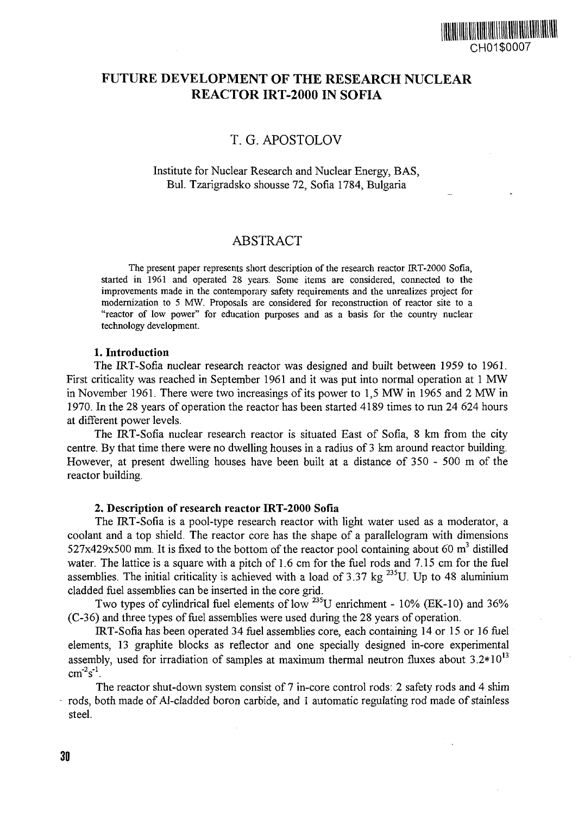# FUTURE DEVELOPMENT OF THE RESEARCH NUCLEAR REACTOR IRT-2000 IN SOFIA

# T. G. APOSTOLOV

### Institute for Nuclear Research and Nuclear Energy, BAS, Bui. Tzarigradsko shousse 72, Sofia 1784, Bulgaria

## ABSTRACT

The present paper represents short description of the research reactor IRT-2000 Sofia, started in 1961 and operated 28 years. Some items are considered, connected to the improvements made in the contemporary safety requirements and the unrealizes project for modernization to 5 MW. Proposals are considered for reconstruction of reactor site to a "reactor of low power" for education purposes and as a basis for the country nuclear technology development.

#### **1. Introduction**

The IRT-Sofia nuclear research reactor was designed and built between 1959 to 1961. First criticality was reached in September 1961 and it was put into normal operation at 1 MW in November 1961. There were two increasings of its power to 1,5 MW in 1965 and 2 MW in 1970. In the 28 years of operation the reactor has been started 4189 times to run 24 624 hours at different power levels.

The IRT-Sofia nuclear research reactor is situated East of Sofia, 8 km from the city centre. By that time there were no dwelling houses in a radius of 3 km around reactor building. However, at present dwelling houses have been built at a distance of 350 - 500 m of the reactor building.

### **2. Description of research reactor IRT-2000 Sofia**

The IRT-Sofia is a pool-type research reactor with light water used as a moderator, a coolant and a top shield. The reactor core has the shape of a parallelogram with dimensions 527x429x500 mm. It is fixed to the bottom of the reactor pool containing about 60 m<sup>3</sup> distilled water. The lattice is a square with a pitch of 1.6 cm for the fuel rods and 7.15 cm for the fuel assemblies. The initial criticality is achieved with a load of 3.37 kg<sup>235</sup>U. Up to 48 aluminium cladded fuel assemblies can be inserted in the core grid.

Two types of cylindrical fuel elements of low  $^{235}$ U enrichment - 10% (EK-10) and 36% (C-36) and three types of fuel assemblies were used during the 28 years of operation.

IRT-Sofia has been operated 34 fuel assemblies core, each containing 14 or 15 or 16 fuel elements, 13 graphite blocks as reflector and one specially designed in-core experimental assembly, used for irradiation of samples at maximum thermal neutron fluxes about  $3.2*10^{13}$  $cm<sup>-2</sup>s<sup>-1</sup>$ .

The reactor shut-down system consist of 7 in-core control rods: 2 safety rods and 4 shim rods, both made of Al-cladded boron carbide, and 1 automatic regulating rod made of stainless steel.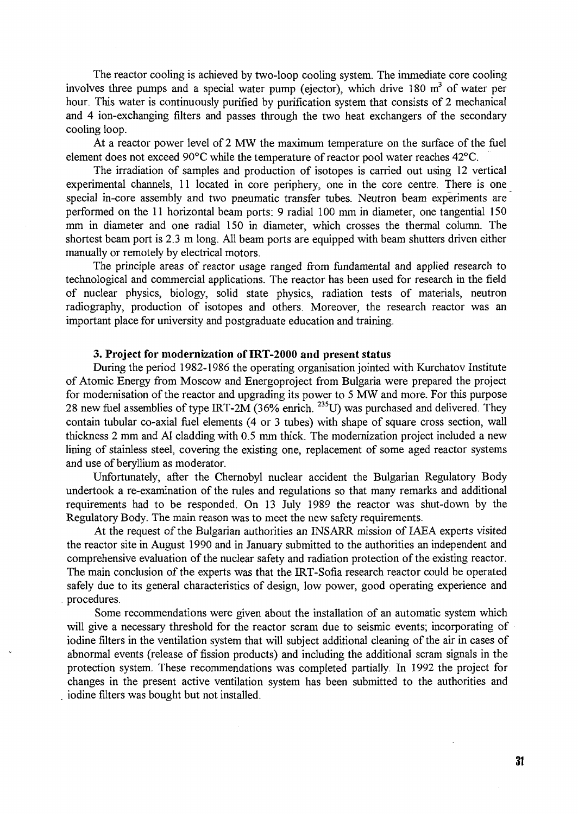The reactor cooling is achieved by two-loop cooling system. The immediate core cooling involves three pumps and a special water pump (ejector), which drive 180  $m<sup>3</sup>$  of water per hour. This water is continuously purified by purification system that consists of 2 mechanical and 4 ion-exchanging filters and passes through the two heat exchangers of the secondary cooling loop.

At a reactor power level of 2 MW the maximum temperature on the surface of the fuel element does not exceed 90°C while the temperature of reactor pool water reaches 42°C.

The irradiation of samples and production of isotopes is carried out using 12 vertical experimental channels, 11 located in core periphery, one in the core centre. There is one special in-core assembly and two pneumatic transfer tubes. Neutron beam experiments are performed on the 11 horizontal beam ports: 9 radial 100 mm in diameter, one tangential 150 mm in diameter and one radial 150 in diameter, which crosses the thermal column. The shortest beam port is 2.3 m long. All beam ports are equipped with beam shutters driven either manually or remotely by electrical motors.

The principle areas of reactor usage ranged from fundamental and applied research to technological and commercial applications. The reactor has been used for research in the field of nuclear physics, biology, solid state physics, radiation tests of materials, neutron radiography, production of isotopes and others. Moreover, the research reactor was an important place for university and postgraduate education and training.

#### **3. Project for modernization of IRT-2000 and present status**

During the period 1982-1986 the operating organisation jointed with Kurchatov Institute of Atomic Energy from Moscow and Energoproject from Bulgaria were prepared the project for modernisation of the reactor and upgrading its power to 5 MW and more. For this purpose 28 new fuel assemblies of type IRT-2M (36% enrich.  $^{235}$ U) was purchased and delivered. They contain tubular co-axial fuel elements (4 or 3 tubes) with shape of square cross section, wall thickness 2 mm and Al cladding with 0.5 mm thick. The modernization project included a new lining of stainless steel, covering the existing one, replacement of some aged reactor systems and use of beryllium as moderator.

Unfortunately, after the Chernobyl nuclear accident the Bulgarian Regulatory Body undertook a re-examination of the rules and regulations so that many remarks and additional requirements had to be responded. On 13 July 1989 the reactor was shut-down by the Regulatory Body. The main reason was to meet the new safety requirements.

At the request of the Bulgarian authorities an INSARR mission of IAEA experts visited the reactor site in August 1990 and in January submitted to the authorities an independent and comprehensive evaluation of the nuclear safety and radiation protection of the existing reactor. The main conclusion of the experts was that the IRT-Sofia research reactor could be operated safely due to its general characteristics of design, low power, good operating experience and procedures.

Some recommendations were given about the installation of an automatic system which will give a necessary threshold for the reactor scram due to seismic events; incorporating of iodine filters in the ventilation system that will subject additional cleaning of the air in cases of abnormal events (release of fission products) and including the additional scram signals in the protection system. These recommendations was completed partially. In 1992 the project for changes in the present active ventilation system has been submitted to the authorities and . iodine filters was bought but not installed.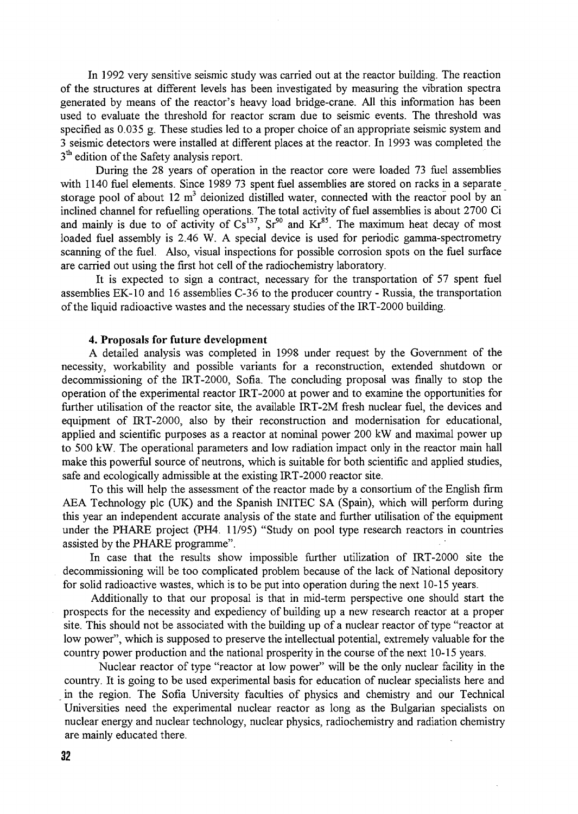In 1992 very sensitive seismic study was carried out at the reactor building. The reaction of the structures at different levels has been investigated by measuring the vibration spectra generated by means of the reactor's heavy load bridge-crane. All this information has been used to evaluate the threshold for reactor scram due to seismic events. The threshold was specified as 0.035 g. These studies led to a proper choice of an appropriate seismic system and 3 seismic detectors were installed at different places at the reactor. In 1993 was completed the 3<sup>th</sup> edition of the Safety analysis report.

During the 28 years of operation in the reactor core were loaded 73 fuel assemblies with 1140 fuel elements. Since 1989 73 spent fuel assemblies are stored on racks in a separate storage pool of about 12  $m<sup>3</sup>$  deionized distilled water, connected with the reactor pool by an inclined channel for refuelling operations. The total activity of fuel assemblies is about 2700 Ci and mainly is due to of activity of  $Cs^{137}$ ,  $Sr^{90}$  and  $Kr^{85}$ . The maximum heat decay of most loaded fuel assembly is 2.46 W. A special device is used for periodic gamma-spectrometry scanning of the fuel. Also, visual inspections for possible corrosion spots on the fuel surface are carried out using the first hot cell of the radiochemistry laboratory.

It is expected to sign a contract, necessary for the transportation of 57 spent fuel assemblies EK-10 and 16 assemblies C-36 to the producer country - Russia, the transportation of the liquid radioactive wastes and the necessary studies of the IRT-2000 building.

#### **4. Proposals for future development**

A detailed analysis was completed in 1998 under request by the Government of the necessity, workability and possible variants for a reconstruction, extended shutdown or decommissioning of the IRT-2000, Sofia. The concluding proposal was finally to stop the operation of the experimental reactor IRT-2000 at power and to examine the opportunities for further utilisation of the reactor site, the available IRT-2M fresh nuclear fuel, the devices and equipment of IRT-2000, also by their reconstruction and modernisation for educational, applied and scientific purposes as a reactor at nominal power 200 kW and maximal power up to 500 kW. The operational parameters and low radiation impact only in the reactor main hall make this powerful source of neutrons, which is suitable for both scientific and applied studies, safe and ecologically admissible at the existing IRT-2000 reactor site.

To this will help the assessment of the reactor made by a consortium of the English firm AEA Technology pic (UK) and the Spanish INITEC SA (Spain), which will perform during this year an independent accurate analysis of the state and further utilisation of the equipment under the PHARE project (PH4. 11/95) "Study on pool type research reactors in countries assisted by the PHARE programme".

In case that the results show impossible further utilization of IRT-2000 site the decommissioning will be too complicated problem because of the lack of National depository for solid radioactive wastes, which is to be put into operation during the next 10-15 years.

Additionally to that our proposal is that in mid-term perspective one should start the prospects for the necessity and expediency of building up a new research reactor at a proper site. This should not be associated with the building up of a nuclear reactor of type "reactor at low power", which is supposed to preserve the intellectual potential, extremely valuable for the country power production and the national prosperity in the course of the next 10-15 years.

Nuclear reactor of type "reactor at low power" will be the only nuclear facility in the country. It is going to be used experimental basis for education of nuclear specialists here and in the region. The Sofia University faculties of physics and chemistry and our Technical Universities need the experimental nuclear reactor as long as the Bulgarian specialists on nuclear energy and nuclear technology, nuclear physics, radiochemistry and radiation chemistry are mainly educated there.